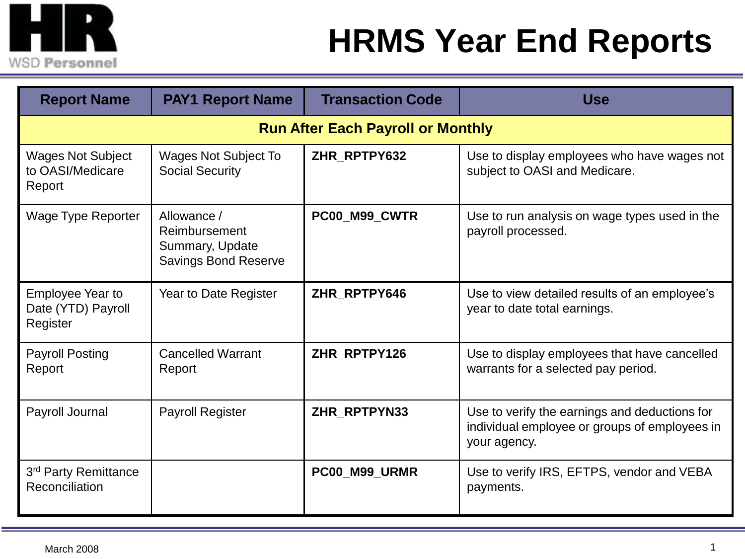

## **HRMS Year End Reports**

| <b>Report Name</b>                                        | <b>PAY1 Report Name</b>                                                        | <b>Transaction Code</b> | <b>Use</b>                                                                                                     |  |  |
|-----------------------------------------------------------|--------------------------------------------------------------------------------|-------------------------|----------------------------------------------------------------------------------------------------------------|--|--|
| <b>Run After Each Payroll or Monthly</b>                  |                                                                                |                         |                                                                                                                |  |  |
| <b>Wages Not Subject</b><br>to OASI/Medicare<br>Report    | <b>Wages Not Subject To</b><br><b>Social Security</b>                          | ZHR_RPTPY632            | Use to display employees who have wages not<br>subject to OASI and Medicare.                                   |  |  |
| <b>Wage Type Reporter</b>                                 | Allowance /<br>Reimbursement<br>Summary, Update<br><b>Savings Bond Reserve</b> | PC00_M99_CWTR           | Use to run analysis on wage types used in the<br>payroll processed.                                            |  |  |
| <b>Employee Year to</b><br>Date (YTD) Payroll<br>Register | Year to Date Register                                                          | ZHR RPTPY646            | Use to view detailed results of an employee's<br>year to date total earnings.                                  |  |  |
| <b>Payroll Posting</b><br>Report                          | <b>Cancelled Warrant</b><br>Report                                             | ZHR_RPTPY126            | Use to display employees that have cancelled<br>warrants for a selected pay period.                            |  |  |
| Payroll Journal                                           | Payroll Register                                                               | ZHR_RPTPYN33            | Use to verify the earnings and deductions for<br>individual employee or groups of employees in<br>your agency. |  |  |
| 3rd Party Remittance<br>Reconciliation                    |                                                                                | PC00_M99_URMR           | Use to verify IRS, EFTPS, vendor and VEBA<br>payments.                                                         |  |  |